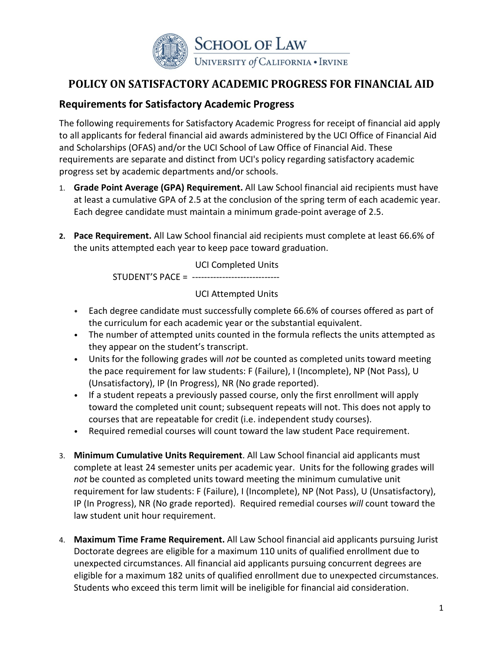

# **POLICY ON SATISFACTORY ACADEMIC PROGRESS FOR FINANCIAL AID**

## **Requirements for Satisfactory Academic Progress**

The following requirements for Satisfactory Academic Progress for receipt of financial aid apply to all applicants for federal financial aid awards administered by the UCI Office of Financial Aid and Scholarships (OFAS) and/or the UCI School of Law Office of Financial Aid. These requirements are separate and distinct from UCI's policy regarding satisfactory academic progress set by academic departments and/or schools.

- 1. **Grade Point Average (GPA) Requirement.** All Law School financial aid recipients must have at least a cumulative GPA of 2.5 at the conclusion of the spring term of each academic year. Each degree candidate must maintain a minimum grade-point average of 2.5.
- **2. Pace Requirement.** All Law School financial aid recipients must complete at least 66.6% of the units attempted each year to keep pace toward graduation.

UCI Completed Units STUDENT'S PACE = -----------------------------

#### UCI Attempted Units

- Each degree candidate must successfully complete 66.6% of courses offered as part of the curriculum for each academic year or the substantial equivalent.
- The number of attempted units counted in the formula reflects the units attempted as they appear on the student's transcript.
- Units for the following grades will *not* be counted as completed units toward meeting the pace requirement for law students: F (Failure), I (Incomplete), NP (Not Pass), U (Unsatisfactory), IP (In Progress), NR (No grade reported).
- If a student repeats a previously passed course, only the first enrollment will apply toward the completed unit count; subsequent repeats will not. This does not apply to courses that are repeatable for credit (i.e. independent study courses).
- Required remedial courses will count toward the law student Pace requirement.
- 3. **Minimum Cumulative Units Requirement**. All Law School financial aid applicants must complete at least 24 semester units per academic year. Units for the following grades will *not* be counted as completed units toward meeting the minimum cumulative unit requirement for law students: F (Failure), I (Incomplete), NP (Not Pass), U (Unsatisfactory), IP (In Progress), NR (No grade reported). Required remedial courses *will* count toward the law student unit hour requirement.
- 4. **Maximum Time Frame Requirement.** All Law School financial aid applicants pursuing Jurist Doctorate degrees are eligible for a maximum 110 units of qualified enrollment due to unexpected circumstances. All financial aid applicants pursuing concurrent degrees are eligible for a maximum 182 units of qualified enrollment due to unexpected circumstances. Students who exceed this term limit will be ineligible for financial aid consideration.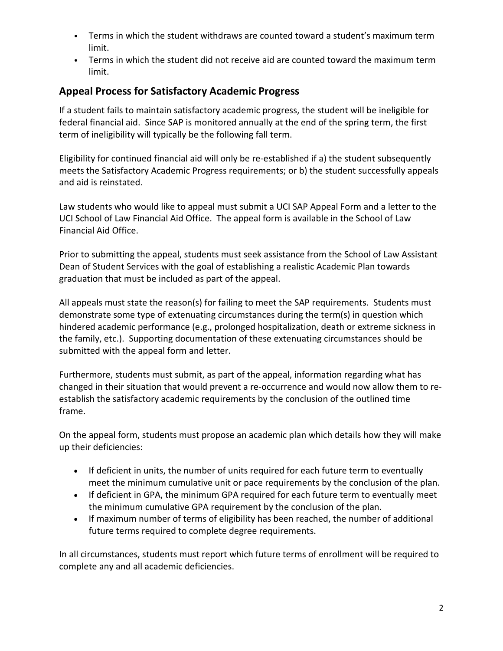- Terms in which the student withdraws are counted toward a student's maximum term limit.
- Terms in which the student did not receive aid are counted toward the maximum term limit.

# **Appeal Process for Satisfactory Academic Progress**

If a student fails to maintain satisfactory academic progress, the student will be ineligible for federal financial aid. Since SAP is monitored annually at the end of the spring term, the first term of ineligibility will typically be the following fall term.

Eligibility for continued financial aid will only be re-established if a) the student subsequently meets the Satisfactory Academic Progress requirements; or b) the student successfully appeals and aid is reinstated.

Law students who would like to appeal must submit a UCI SAP Appeal Form and a letter to the UCI School of Law Financial Aid Office. The appeal form is available in the School of Law Financial Aid Office.

Prior to submitting the appeal, students must seek assistance from the School of Law Assistant Dean of Student Services with the goal of establishing a realistic Academic Plan towards graduation that must be included as part of the appeal.

All appeals must state the reason(s) for failing to meet the SAP requirements. Students must demonstrate some type of extenuating circumstances during the term(s) in question which hindered academic performance (e.g., prolonged hospitalization, death or extreme sickness in the family, etc.). Supporting documentation of these extenuating circumstances should be submitted with the appeal form and letter.

Furthermore, students must submit, as part of the appeal, information regarding what has changed in their situation that would prevent a re-occurrence and would now allow them to reestablish the satisfactory academic requirements by the conclusion of the outlined time frame.

On the appeal form, students must propose an academic plan which details how they will make up their deficiencies:

- If deficient in units, the number of units required for each future term to eventually meet the minimum cumulative unit or pace requirements by the conclusion of the plan.
- If deficient in GPA, the minimum GPA required for each future term to eventually meet the minimum cumulative GPA requirement by the conclusion of the plan.
- If maximum number of terms of eligibility has been reached, the number of additional future terms required to complete degree requirements.

In all circumstances, students must report which future terms of enrollment will be required to complete any and all academic deficiencies.